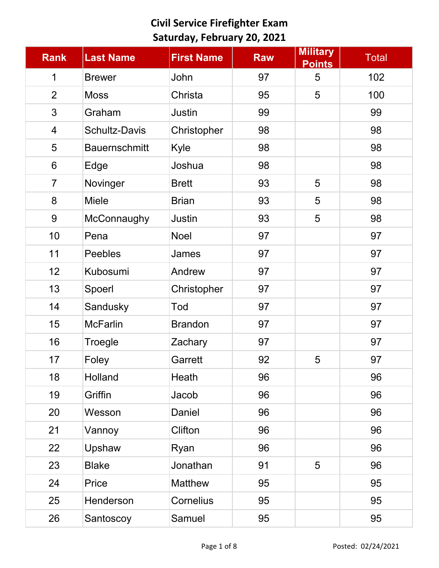| <b>Rank</b>              | <b>Last Name</b>     | <b>First Name</b> | <b>Raw</b> | <b>Military</b><br><b>Points</b> | Total |
|--------------------------|----------------------|-------------------|------------|----------------------------------|-------|
| $\mathbf 1$              | <b>Brewer</b>        | John              | 97         | 5                                | 102   |
| $\overline{2}$           | <b>Moss</b>          | Christa           | 95         | 5                                | 100   |
| 3                        | Graham               | <b>Justin</b>     | 99         |                                  | 99    |
| $\overline{\mathcal{A}}$ | <b>Schultz-Davis</b> | Christopher       | 98         |                                  | 98    |
| 5                        | <b>Bauernschmitt</b> | Kyle              | 98         |                                  | 98    |
| $6\phantom{1}$           | Edge                 | Joshua            | 98         |                                  | 98    |
| $\overline{7}$           | Novinger             | <b>Brett</b>      | 93         | 5                                | 98    |
| 8                        | <b>Miele</b>         | <b>Brian</b>      | 93         | 5                                | 98    |
| 9                        | McConnaughy          | <b>Justin</b>     | 93         | 5                                | 98    |
| 10                       | Pena                 | <b>Noel</b>       | 97         |                                  | 97    |
| 11                       | <b>Peebles</b>       | James             | 97         |                                  | 97    |
| 12                       | Kubosumi             | Andrew            | 97         |                                  | 97    |
| 13                       | Spoerl               | Christopher       | 97         |                                  | 97    |
| 14                       | Sandusky             | Tod               | 97         |                                  | 97    |
| 15                       | <b>McFarlin</b>      | <b>Brandon</b>    | 97         |                                  | 97    |
| 16                       | Troegle              | Zachary           | 97         |                                  | 97    |
| 17                       | Foley                | Garrett           | 92         | 5                                | 97    |
| 18                       | <b>Holland</b>       | Heath             | 96         |                                  | 96    |
| 19                       | Griffin              | Jacob             | 96         |                                  | 96    |
| 20                       | Wesson               | Daniel            | 96         |                                  | 96    |
| 21                       | Vannoy               | Clifton           | 96         |                                  | 96    |
| 22                       | Upshaw               | Ryan              | 96         |                                  | 96    |
| 23                       | <b>Blake</b>         | Jonathan          | 91         | 5                                | 96    |
| 24                       | Price                | <b>Matthew</b>    | 95         |                                  | 95    |
| 25                       | Henderson            | <b>Cornelius</b>  | 95         |                                  | 95    |
| 26                       | Santoscoy            | Samuel            | 95         |                                  | 95    |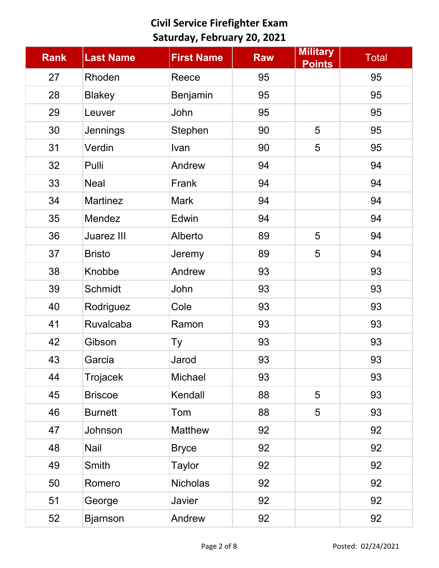| <b>Rank</b> | <b>Last Name</b>  | <b>First Name</b> | <b>Raw</b> | <b>Military</b><br><b>Points</b> | <b>Total</b> |
|-------------|-------------------|-------------------|------------|----------------------------------|--------------|
| 27          | Rhoden            | Reece             | 95         |                                  | 95           |
| 28          | <b>Blakey</b>     | Benjamin          | 95         |                                  | 95           |
| 29          | Leuver            | John              | 95         |                                  | 95           |
| 30          | Jennings          | Stephen           | 90         | 5                                | 95           |
| 31          | Verdin            | Ivan              | 90         | 5                                | 95           |
| 32          | Pulli             | Andrew            | 94         |                                  | 94           |
| 33          | <b>Neal</b>       | Frank             | 94         |                                  | 94           |
| 34          | <b>Martinez</b>   | <b>Mark</b>       | 94         |                                  | 94           |
| 35          | Mendez            | Edwin             | 94         |                                  | 94           |
| 36          | <b>Juarez III</b> | Alberto           | 89         | 5                                | 94           |
| 37          | <b>Bristo</b>     | Jeremy            | 89         | 5                                | 94           |
| 38          | Knobbe            | Andrew            | 93         |                                  | 93           |
| 39          | <b>Schmidt</b>    | John              | 93         |                                  | 93           |
| 40          | Rodriguez         | Cole              | 93         |                                  | 93           |
| 41          | <b>Ruvalcaba</b>  | Ramon             | 93         |                                  | 93           |
| 42          | Gibson            | Тy                | 93         |                                  | 93           |
| 43          | Garcia            | Jarod             | 93         |                                  | 93           |
| 44          | Trojacek          | Michael           | 93         |                                  | 93           |
| 45          | <b>Briscoe</b>    | Kendall           | 88         | 5                                | 93           |
| 46          | <b>Burnett</b>    | Tom               | 88         | 5                                | 93           |
| 47          | Johnson           | <b>Matthew</b>    | 92         |                                  | 92           |
| 48          | Nail              | <b>Bryce</b>      | 92         |                                  | 92           |
| 49          | Smith             | <b>Taylor</b>     | 92         |                                  | 92           |
| 50          | Romero            | <b>Nicholas</b>   | 92         |                                  | 92           |
| 51          | George            | Javier            | 92         |                                  | 92           |
| 52          | <b>Bjarnson</b>   | Andrew            | 92         |                                  | 92           |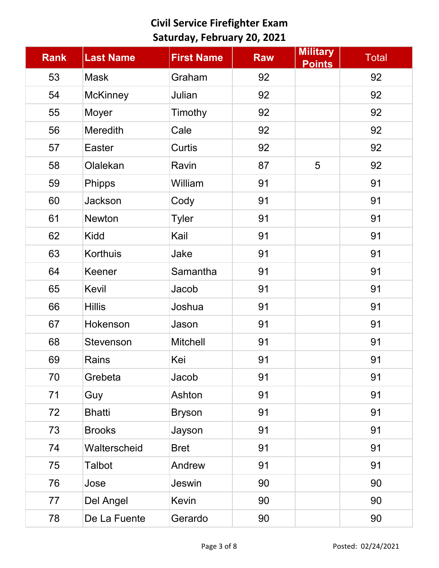| <b>Rank</b> | <b>Last Name</b> | <b>First Name</b> | <b>Raw</b> | <b>Military</b><br><b>Points</b> | <b>Total</b> |
|-------------|------------------|-------------------|------------|----------------------------------|--------------|
| 53          | <b>Mask</b>      | Graham            | 92         |                                  | 92           |
| 54          | <b>McKinney</b>  | Julian            | 92         |                                  | 92           |
| 55          | Moyer            | Timothy           | 92         |                                  | 92           |
| 56          | <b>Meredith</b>  | Cale              | 92         |                                  | 92           |
| 57          | <b>Easter</b>    | <b>Curtis</b>     | 92         |                                  | 92           |
| 58          | Olalekan         | Ravin             | 87         | 5                                | 92           |
| 59          | <b>Phipps</b>    | William           | 91         |                                  | 91           |
| 60          | Jackson          | Cody              | 91         |                                  | 91           |
| 61          | <b>Newton</b>    | <b>Tyler</b>      | 91         |                                  | 91           |
| 62          | Kidd             | Kail              | 91         |                                  | 91           |
| 63          | Korthuis         | Jake              | 91         |                                  | 91           |
| 64          | Keener           | Samantha          | 91         |                                  | 91           |
| 65          | Kevil            | Jacob             | 91         |                                  | 91           |
| 66          | <b>Hillis</b>    | Joshua            | 91         |                                  | 91           |
| 67          | Hokenson         | Jason             | 91         |                                  | 91           |
| 68          | <b>Stevenson</b> | <b>Mitchell</b>   | 91         |                                  | 91           |
| 69          | Rains            | Kei               | 91         |                                  | 91           |
| 70          | Grebeta          | Jacob             | 91         |                                  | 91           |
| 71          | Guy              | Ashton            | 91         |                                  | 91           |
| 72          | <b>Bhatti</b>    | <b>Bryson</b>     | 91         |                                  | 91           |
| 73          | <b>Brooks</b>    | Jayson            | 91         |                                  | 91           |
| 74          | Walterscheid     | <b>Bret</b>       | 91         |                                  | 91           |
| 75          | Talbot           | Andrew            | 91         |                                  | 91           |
| 76          | Jose             | Jeswin            | 90         |                                  | 90           |
| 77          | Del Angel        | Kevin             | 90         |                                  | 90           |
| 78          | De La Fuente     | Gerardo           | 90         |                                  | 90           |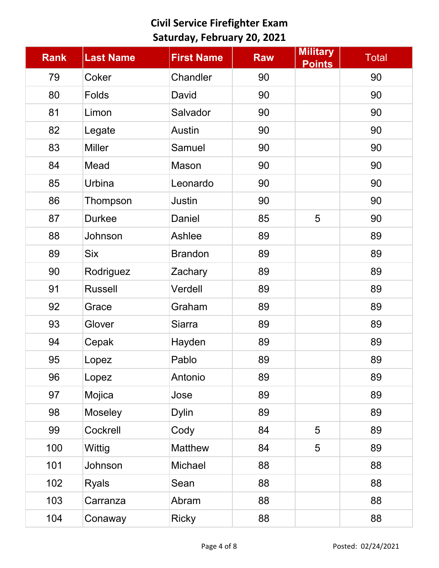| <b>Rank</b> | <b>Last Name</b> | <b>First Name</b> | <b>Raw</b> | <b>Military</b><br><b>Points</b> | <b>Total</b> |
|-------------|------------------|-------------------|------------|----------------------------------|--------------|
| 79          | Coker            | Chandler          | 90         |                                  | 90           |
| 80          | <b>Folds</b>     | David             | 90         |                                  | 90           |
| 81          | Limon            | Salvador          | 90         |                                  | 90           |
| 82          | Legate           | <b>Austin</b>     | 90         |                                  | 90           |
| 83          | <b>Miller</b>    | Samuel            | 90         |                                  | 90           |
| 84          | Mead             | Mason             | 90         |                                  | 90           |
| 85          | <b>Urbina</b>    | Leonardo          | 90         |                                  | 90           |
| 86          | Thompson         | Justin            | 90         |                                  | 90           |
| 87          | <b>Durkee</b>    | Daniel            | 85         | 5                                | 90           |
| 88          | Johnson          | Ashlee            | 89         |                                  | 89           |
| 89          | <b>Six</b>       | <b>Brandon</b>    | 89         |                                  | 89           |
| 90          | Rodriguez        | Zachary           | 89         |                                  | 89           |
| 91          | <b>Russell</b>   | Verdell           | 89         |                                  | 89           |
| 92          | Grace            | Graham            | 89         |                                  | 89           |
| 93          | Glover           | <b>Siarra</b>     | 89         |                                  | 89           |
| 94          | Cepak            | Hayden            | 89         |                                  | 89           |
| 95          | Lopez            | Pablo             | 89         |                                  | 89           |
| 96          | Lopez            | Antonio           | 89         |                                  | 89           |
| 97          | Mojica           | Jose              | 89         |                                  | 89           |
| 98          | Moseley          | <b>Dylin</b>      | 89         |                                  | 89           |
| 99          | Cockrell         | Cody              | 84         | 5                                | 89           |
| 100         | Wittig           | <b>Matthew</b>    | 84         | 5                                | 89           |
| 101         | Johnson          | Michael           | 88         |                                  | 88           |
| 102         | <b>Ryals</b>     | Sean              | 88         |                                  | 88           |
| 103         | Carranza         | Abram             | 88         |                                  | 88           |
| 104         | Conaway          | <b>Ricky</b>      | 88         |                                  | 88           |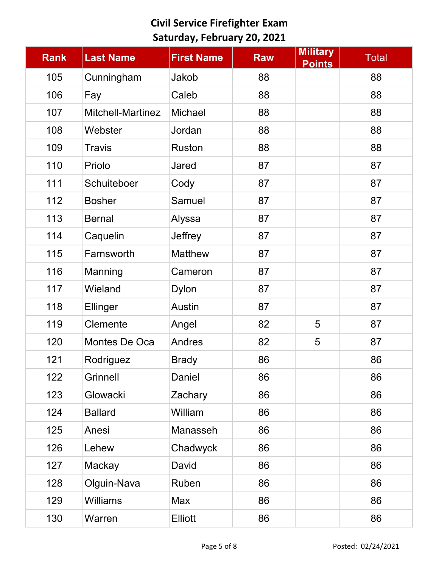| <b>Rank</b> | <b>Last Name</b>         | <b>First Name</b> | <b>Raw</b> | <b>Military</b><br><b>Points</b> | <b>Total</b> |
|-------------|--------------------------|-------------------|------------|----------------------------------|--------------|
| 105         | Cunningham               | Jakob             | 88         |                                  | 88           |
| 106         | Fay                      | Caleb             | 88         |                                  | 88           |
| 107         | <b>Mitchell-Martinez</b> | Michael           | 88         |                                  | 88           |
| 108         | Webster                  | Jordan            | 88         |                                  | 88           |
| 109         | <b>Travis</b>            | <b>Ruston</b>     | 88         |                                  | 88           |
| 110         | Priolo                   | Jared             | 87         |                                  | 87           |
| 111         | Schuiteboer              | Cody              | 87         |                                  | 87           |
| 112         | <b>Bosher</b>            | Samuel            | 87         |                                  | 87           |
| 113         | <b>Bernal</b>            | Alyssa            | 87         |                                  | 87           |
| 114         | Caquelin                 | Jeffrey           | 87         |                                  | 87           |
| 115         | Farnsworth               | <b>Matthew</b>    | 87         |                                  | 87           |
| 116         | Manning                  | Cameron           | 87         |                                  | 87           |
| 117         | Wieland                  | <b>Dylon</b>      | 87         |                                  | 87           |
| 118         | Ellinger                 | Austin            | 87         |                                  | 87           |
| 119         | Clemente                 | Angel             | 82         | 5                                | 87           |
| 120         | Montes De Oca            | Andres            | 82         | 5                                | 87           |
| 121         | Rodriguez                | <b>Brady</b>      | 86         |                                  | 86           |
| 122         | Grinnell                 | Daniel            | 86         |                                  | 86           |
| 123         | Glowacki                 | Zachary           | 86         |                                  | 86           |
| 124         | <b>Ballard</b>           | William           | 86         |                                  | 86           |
| 125         | Anesi                    | Manasseh          | 86         |                                  | 86           |
| 126         | Lehew                    | Chadwyck          | 86         |                                  | 86           |
| 127         | Mackay                   | David             | 86         |                                  | 86           |
| 128         | Olguin-Nava              | Ruben             | 86         |                                  | 86           |
| 129         | <b>Williams</b>          | Max               | 86         |                                  | 86           |
| 130         | Warren                   | <b>Elliott</b>    | 86         |                                  | 86           |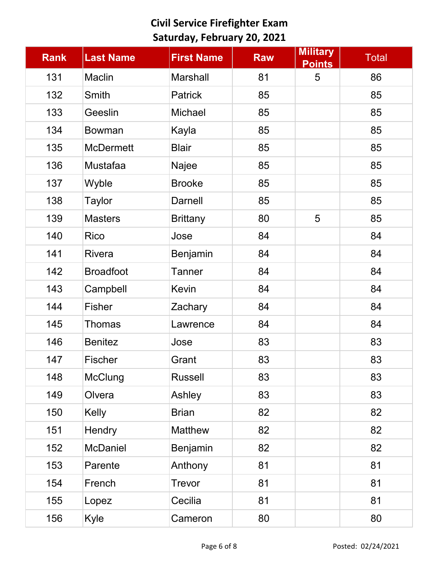| <b>Rank</b> | <b>Last Name</b> | <b>First Name</b> | <b>Raw</b> | <b>Military</b><br><b>Points</b> | <b>Total</b> |
|-------------|------------------|-------------------|------------|----------------------------------|--------------|
| 131         | Maclin           | <b>Marshall</b>   | 81         | 5                                | 86           |
| 132         | Smith            | <b>Patrick</b>    | 85         |                                  | 85           |
| 133         | Geeslin          | <b>Michael</b>    | 85         |                                  | 85           |
| 134         | <b>Bowman</b>    | Kayla             | 85         |                                  | 85           |
| 135         | <b>McDermett</b> | <b>Blair</b>      | 85         |                                  | 85           |
| 136         | Mustafaa         | Najee             | 85         |                                  | 85           |
| 137         | Wyble            | <b>Brooke</b>     | 85         |                                  | 85           |
| 138         | <b>Taylor</b>    | <b>Darnell</b>    | 85         |                                  | 85           |
| 139         | <b>Masters</b>   | <b>Brittany</b>   | 80         | 5                                | 85           |
| 140         | Rico             | Jose              | 84         |                                  | 84           |
| 141         | <b>Rivera</b>    | Benjamin          | 84         |                                  | 84           |
| 142         | <b>Broadfoot</b> | <b>Tanner</b>     | 84         |                                  | 84           |
| 143         | Campbell         | Kevin             | 84         |                                  | 84           |
| 144         | <b>Fisher</b>    | Zachary           | 84         |                                  | 84           |
| 145         | <b>Thomas</b>    | Lawrence          | 84         |                                  | 84           |
| 146         | <b>Benitez</b>   | Jose              | 83         |                                  | 83           |
| 147         | <b>Fischer</b>   | Grant             | 83         |                                  | 83           |
| 148         | McClung          | <b>Russell</b>    | 83         |                                  | 83           |
| 149         | Olvera           | Ashley            | 83         |                                  | 83           |
| 150         | Kelly            | <b>Brian</b>      | 82         |                                  | 82           |
| 151         | Hendry           | <b>Matthew</b>    | 82         |                                  | 82           |
| 152         | <b>McDaniel</b>  | Benjamin          | 82         |                                  | 82           |
| 153         | Parente          | Anthony           | 81         |                                  | 81           |
| 154         | French           | <b>Trevor</b>     | 81         |                                  | 81           |
| 155         | Lopez            | Cecilia           | 81         |                                  | 81           |
| 156         | Kyle             | Cameron           | 80         |                                  | 80           |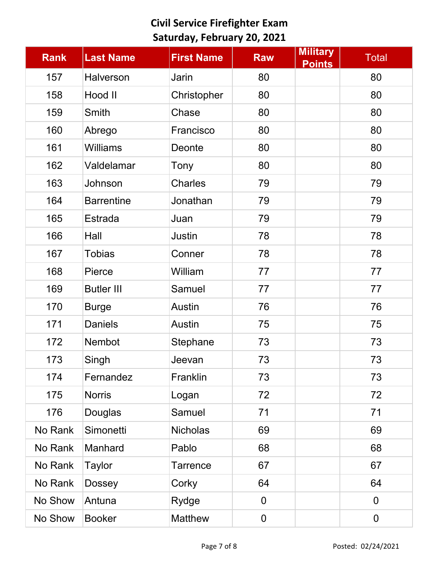| <b>Rank</b> | <b>Last Name</b>  | <b>First Name</b> | <b>Raw</b>       | <b>Military</b><br><b>Points</b> | <b>Total</b>   |
|-------------|-------------------|-------------------|------------------|----------------------------------|----------------|
| 157         | Halverson         | Jarin             | 80               |                                  | 80             |
| 158         | Hood II           | Christopher       | 80               |                                  | 80             |
| 159         | Smith             | Chase             | 80               |                                  | 80             |
| 160         | Abrego            | Francisco         | 80               |                                  | 80             |
| 161         | <b>Williams</b>   | Deonte            | 80               |                                  | 80             |
| 162         | Valdelamar        | Tony              | 80               |                                  | 80             |
| 163         | Johnson           | <b>Charles</b>    | 79               |                                  | 79             |
| 164         | <b>Barrentine</b> | Jonathan          | 79               |                                  | 79             |
| 165         | <b>Estrada</b>    | Juan              | 79               |                                  | 79             |
| 166         | Hall              | <b>Justin</b>     | 78               |                                  | 78             |
| 167         | <b>Tobias</b>     | Conner            | 78               |                                  | 78             |
| 168         | Pierce            | William           | 77               |                                  | 77             |
| 169         | <b>Butler III</b> | Samuel            | 77               |                                  | 77             |
| 170         | <b>Burge</b>      | <b>Austin</b>     | 76               |                                  | 76             |
| 171         | <b>Daniels</b>    | Austin            | 75               |                                  | 75             |
| 172         | <b>Nembot</b>     | Stephane          | 73               |                                  | 73             |
| 173         | Singh             | Jeevan            | 73               |                                  | 73             |
| 174         | Fernandez         | Franklin          | 73               |                                  | 73             |
| 175         | <b>Norris</b>     | Logan             | 72               |                                  | 72             |
| 176         | Douglas           | Samuel            | 71               |                                  | 71             |
| No Rank     | Simonetti         | <b>Nicholas</b>   | 69               |                                  | 69             |
| No Rank     | Manhard           | Pablo             | 68               |                                  | 68             |
| No Rank     | <b>Taylor</b>     | <b>Tarrence</b>   | 67               |                                  | 67             |
| No Rank     | <b>Dossey</b>     | Corky             | 64               |                                  | 64             |
| No Show     | Antuna            | Rydge             | 0                |                                  | $\overline{0}$ |
| No Show     | <b>Booker</b>     | <b>Matthew</b>    | $\boldsymbol{0}$ |                                  | $\mathbf 0$    |